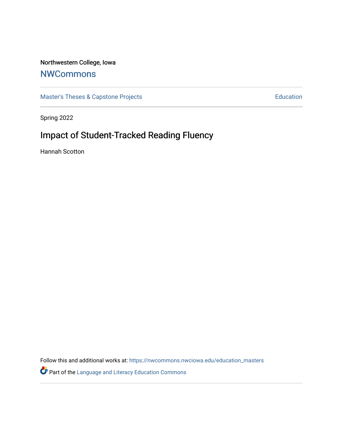# Northwestern College, Iowa

# **[NWCommons](https://nwcommons.nwciowa.edu/)**

[Master's Theses & Capstone Projects](https://nwcommons.nwciowa.edu/education_masters) **Education** Education

Spring 2022

# Impact of Student-Tracked Reading Fluency

Hannah Scotton

Follow this and additional works at: [https://nwcommons.nwciowa.edu/education\\_masters](https://nwcommons.nwciowa.edu/education_masters?utm_source=nwcommons.nwciowa.edu%2Feducation_masters%2F402&utm_medium=PDF&utm_campaign=PDFCoverPages)

Part of the [Language and Literacy Education Commons](https://network.bepress.com/hgg/discipline/1380?utm_source=nwcommons.nwciowa.edu%2Feducation_masters%2F402&utm_medium=PDF&utm_campaign=PDFCoverPages)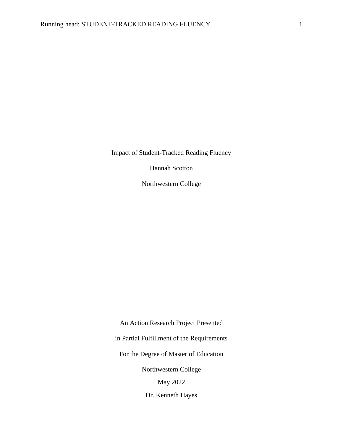Impact of Student-Tracked Reading Fluency

Hannah Scotton

Northwestern College

An Action Research Project Presented in Partial Fulfillment of the Requirements For the Degree of Master of Education Northwestern College May 2022

Dr. Kenneth Hayes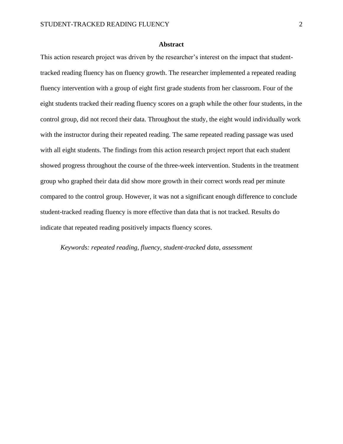#### **Abstract**

This action research project was driven by the researcher's interest on the impact that studenttracked reading fluency has on fluency growth. The researcher implemented a repeated reading fluency intervention with a group of eight first grade students from her classroom. Four of the eight students tracked their reading fluency scores on a graph while the other four students, in the control group, did not record their data. Throughout the study, the eight would individually work with the instructor during their repeated reading. The same repeated reading passage was used with all eight students. The findings from this action research project report that each student showed progress throughout the course of the three-week intervention. Students in the treatment group who graphed their data did show more growth in their correct words read per minute compared to the control group. However, it was not a significant enough difference to conclude student-tracked reading fluency is more effective than data that is not tracked. Results do indicate that repeated reading positively impacts fluency scores.

*Keywords: repeated reading, fluency, student-tracked data, assessment*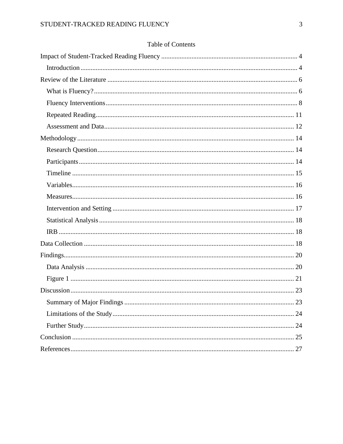# Table of Contents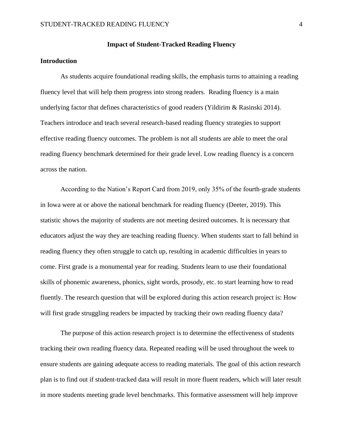#### **Impact of Student-Tracked Reading Fluency**

#### <span id="page-4-1"></span><span id="page-4-0"></span>**Introduction**

As students acquire foundational reading skills, the emphasis turns to attaining a reading fluency level that will help them progress into strong readers. Reading fluency is a main underlying factor that defines characteristics of good readers (Yildirim & Rasinski 2014). Teachers introduce and teach several research-based reading fluency strategies to support effective reading fluency outcomes. The problem is not all students are able to meet the oral reading fluency benchmark determined for their grade level. Low reading fluency is a concern across the nation.

According to the Nation's Report Card from 2019, only 35% of the fourth-grade students in Iowa were at or above the national benchmark for reading fluency (Deeter, 2019). This statistic shows the majority of students are not meeting desired outcomes. It is necessary that educators adjust the way they are teaching reading fluency. When students start to fall behind in reading fluency they often struggle to catch up, resulting in academic difficulties in years to come. First grade is a monumental year for reading. Students learn to use their foundational skills of phonemic awareness, phonics, sight words, prosody, etc. to start learning how to read fluently. The research question that will be explored during this action research project is: How will first grade struggling readers be impacted by tracking their own reading fluency data?

The purpose of this action research project is to determine the effectiveness of students tracking their own reading fluency data. Repeated reading will be used throughout the week to ensure students are gaining adequate access to reading materials. The goal of this action research plan is to find out if student-tracked data will result in more fluent readers, which will later result in more students meeting grade level benchmarks. This formative assessment will help improve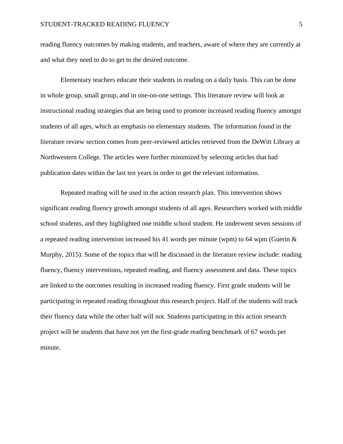reading fluency outcomes by making students, and teachers, aware of where they are currently at and what they need to do to get to the desired outcome.

Elementary teachers educate their students in reading on a daily basis. This can be done in whole group, small group, and in one-on-one settings. This literature review will look at instructional reading strategies that are being used to promote increased reading fluency amongst students of all ages, which an emphasis on elementary students. The information found in the literature review section comes from peer-reviewed articles retrieved from the DeWitt Library at Northwestern College. The articles were further minimized by selecting articles that had publication dates within the last ten years in order to get the relevant information.

Repeated reading will be used in the action research plan. This intervention shows significant reading fluency growth amongst students of all ages. Researchers worked with middle school students, and they highlighted one middle school student. He underwent seven sessions of a repeated reading intervention increased his 41 words per minute (wpm) to 64 wpm (Guerin  $\&$ Murphy, 2015). Some of the topics that will be discussed in the literature review include: reading fluency, fluency interventions, repeated reading, and fluency assessment and data. These topics are linked to the outcomes resulting in increased reading fluency. First grade students will be participating in repeated reading throughout this research project. Half of the students will track their fluency data while the other half will not. Students participating in this action research project will be students that have not yet the first-grade reading benchmark of 67 words per minute.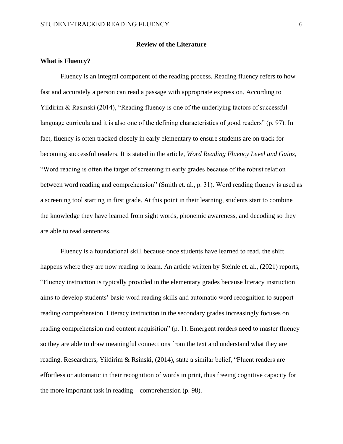#### **Review of the Literature**

#### <span id="page-6-1"></span><span id="page-6-0"></span>**What is Fluency?**

Fluency is an integral component of the reading process. Reading fluency refers to how fast and accurately a person can read a passage with appropriate expression. According to Yildirim & Rasinski (2014), "Reading fluency is one of the underlying factors of successful language curricula and it is also one of the defining characteristics of good readers" (p. 97). In fact, fluency is often tracked closely in early elementary to ensure students are on track for becoming successful readers. It is stated in the article, *Word Reading Fluency Level and Gains*, "Word reading is often the target of screening in early grades because of the robust relation between word reading and comprehension" (Smith et. al., p. 31). Word reading fluency is used as a screening tool starting in first grade. At this point in their learning, students start to combine the knowledge they have learned from sight words, phonemic awareness, and decoding so they are able to read sentences.

Fluency is a foundational skill because once students have learned to read, the shift happens where they are now reading to learn. An article written by Steinle et. al., (2021) reports, "Fluency instruction is typically provided in the elementary grades because literacy instruction aims to develop students' basic word reading skills and automatic word recognition to support reading comprehension. Literacy instruction in the secondary grades increasingly focuses on reading comprehension and content acquisition" (p. 1). Emergent readers need to master fluency so they are able to draw meaningful connections from the text and understand what they are reading. Researchers, Yildirim & Rsinski, (2014), state a similar belief, "Fluent readers are effortless or automatic in their recognition of words in print, thus freeing cognitive capacity for the more important task in reading – comprehension (p. 98).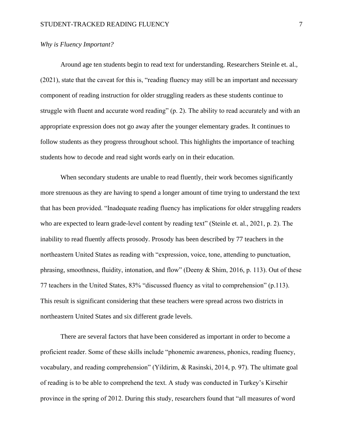#### *Why is Fluency Important?*

Around age ten students begin to read text for understanding. Researchers Steinle et. al., (2021), state that the caveat for this is, "reading fluency may still be an important and necessary component of reading instruction for older struggling readers as these students continue to struggle with fluent and accurate word reading" (p. 2). The ability to read accurately and with an appropriate expression does not go away after the younger elementary grades. It continues to follow students as they progress throughout school. This highlights the importance of teaching students how to decode and read sight words early on in their education.

When secondary students are unable to read fluently, their work becomes significantly more strenuous as they are having to spend a longer amount of time trying to understand the text that has been provided. "Inadequate reading fluency has implications for older struggling readers who are expected to learn grade-level content by reading text" (Steinle et. al., 2021, p. 2). The inability to read fluently affects prosody. Prosody has been described by 77 teachers in the northeastern United States as reading with "expression, voice, tone, attending to punctuation, phrasing, smoothness, fluidity, intonation, and flow" (Deeny & Shim, 2016, p. 113). Out of these 77 teachers in the United States, 83% "discussed fluency as vital to comprehension" (p.113). This result is significant considering that these teachers were spread across two districts in northeastern United States and six different grade levels.

There are several factors that have been considered as important in order to become a proficient reader. Some of these skills include "phonemic awareness, phonics, reading fluency, vocabulary, and reading comprehension" (Yildirim, & Rasinski, 2014, p. 97). The ultimate goal of reading is to be able to comprehend the text. A study was conducted in Turkey's Kirsehir province in the spring of 2012. During this study, researchers found that "all measures of word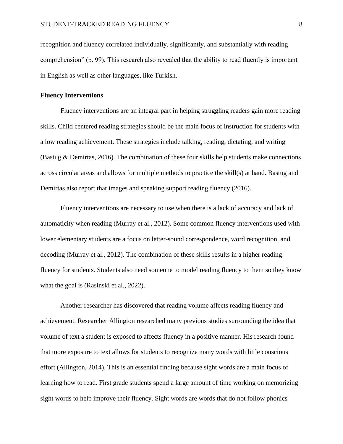recognition and fluency correlated individually, significantly, and substantially with reading comprehension" (p. 99). This research also revealed that the ability to read fluently is important in English as well as other languages, like Turkish.

#### <span id="page-8-0"></span>**Fluency Interventions**

Fluency interventions are an integral part in helping struggling readers gain more reading skills. Child centered reading strategies should be the main focus of instruction for students with a low reading achievement. These strategies include talking, reading, dictating, and writing (Bastug & Demirtas, 2016). The combination of these four skills help students make connections across circular areas and allows for multiple methods to practice the skill(s) at hand. Bastug and Demirtas also report that images and speaking support reading fluency (2016).

Fluency interventions are necessary to use when there is a lack of accuracy and lack of automaticity when reading (Murray et al., 2012). Some common fluency interventions used with lower elementary students are a focus on letter-sound correspondence, word recognition, and decoding (Murray et al., 2012). The combination of these skills results in a higher reading fluency for students. Students also need someone to model reading fluency to them so they know what the goal is (Rasinski et al., 2022).

Another researcher has discovered that reading volume affects reading fluency and achievement. Researcher Allington researched many previous studies surrounding the idea that volume of text a student is exposed to affects fluency in a positive manner. His research found that more exposure to text allows for students to recognize many words with little conscious effort (Allington, 2014). This is an essential finding because sight words are a main focus of learning how to read. First grade students spend a large amount of time working on memorizing sight words to help improve their fluency. Sight words are words that do not follow phonics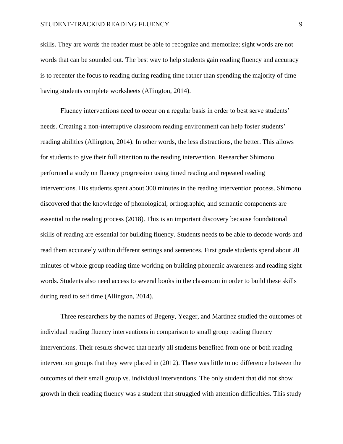#### STUDENT-TRACKED READING FLUENCY 9

skills. They are words the reader must be able to recognize and memorize; sight words are not words that can be sounded out. The best way to help students gain reading fluency and accuracy is to recenter the focus to reading during reading time rather than spending the majority of time having students complete worksheets (Allington, 2014).

Fluency interventions need to occur on a regular basis in order to best serve students' needs. Creating a non-interruptive classroom reading environment can help foster students' reading abilities (Allington, 2014). In other words, the less distractions, the better. This allows for students to give their full attention to the reading intervention. Researcher Shimono performed a study on fluency progression using timed reading and repeated reading interventions. His students spent about 300 minutes in the reading intervention process. Shimono discovered that the knowledge of phonological, orthographic, and semantic components are essential to the reading process (2018). This is an important discovery because foundational skills of reading are essential for building fluency. Students needs to be able to decode words and read them accurately within different settings and sentences. First grade students spend about 20 minutes of whole group reading time working on building phonemic awareness and reading sight words. Students also need access to several books in the classroom in order to build these skills during read to self time (Allington, 2014).

Three researchers by the names of Begeny, Yeager, and Martinez studied the outcomes of individual reading fluency interventions in comparison to small group reading fluency interventions. Their results showed that nearly all students benefited from one or both reading intervention groups that they were placed in (2012). There was little to no difference between the outcomes of their small group vs. individual interventions. The only student that did not show growth in their reading fluency was a student that struggled with attention difficulties. This study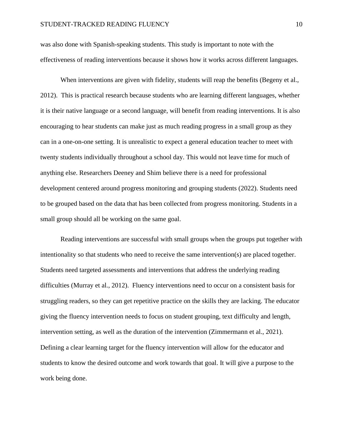was also done with Spanish-speaking students. This study is important to note with the effectiveness of reading interventions because it shows how it works across different languages.

When interventions are given with fidelity, students will reap the benefits (Begeny et al., 2012). This is practical research because students who are learning different languages, whether it is their native language or a second language, will benefit from reading interventions. It is also encouraging to hear students can make just as much reading progress in a small group as they can in a one-on-one setting. It is unrealistic to expect a general education teacher to meet with twenty students individually throughout a school day. This would not leave time for much of anything else. Researchers Deeney and Shim believe there is a need for professional development centered around progress monitoring and grouping students (2022). Students need to be grouped based on the data that has been collected from progress monitoring. Students in a small group should all be working on the same goal.

Reading interventions are successful with small groups when the groups put together with intentionality so that students who need to receive the same intervention(s) are placed together. Students need targeted assessments and interventions that address the underlying reading difficulties (Murray et al., 2012). Fluency interventions need to occur on a consistent basis for struggling readers, so they can get repetitive practice on the skills they are lacking. The educator giving the fluency intervention needs to focus on student grouping, text difficulty and length, intervention setting, as well as the duration of the intervention (Zimmermann et al., 2021). Defining a clear learning target for the fluency intervention will allow for the educator and students to know the desired outcome and work towards that goal. It will give a purpose to the work being done.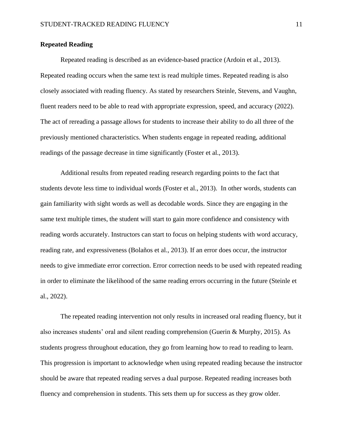#### <span id="page-11-0"></span>**Repeated Reading**

Repeated reading is described as an evidence-based practice (Ardoin et al., 2013). Repeated reading occurs when the same text is read multiple times. Repeated reading is also closely associated with reading fluency. As stated by researchers Steinle, Stevens, and Vaughn, fluent readers need to be able to read with appropriate expression, speed, and accuracy (2022). The act of rereading a passage allows for students to increase their ability to do all three of the previously mentioned characteristics. When students engage in repeated reading, additional readings of the passage decrease in time significantly (Foster et al., 2013).

Additional results from repeated reading research regarding points to the fact that students devote less time to individual words (Foster et al., 2013). In other words, students can gain familiarity with sight words as well as decodable words. Since they are engaging in the same text multiple times, the student will start to gain more confidence and consistency with reading words accurately. Instructors can start to focus on helping students with word accuracy, reading rate, and expressiveness (Bolaños et al., 2013). If an error does occur, the instructor needs to give immediate error correction. Error correction needs to be used with repeated reading in order to eliminate the likelihood of the same reading errors occurring in the future (Steinle et al., 2022).

The repeated reading intervention not only results in increased oral reading fluency, but it also increases students' oral and silent reading comprehension (Guerin & Murphy, 2015). As students progress throughout education, they go from learning how to read to reading to learn. This progression is important to acknowledge when using repeated reading because the instructor should be aware that repeated reading serves a dual purpose. Repeated reading increases both fluency and comprehension in students. This sets them up for success as they grow older.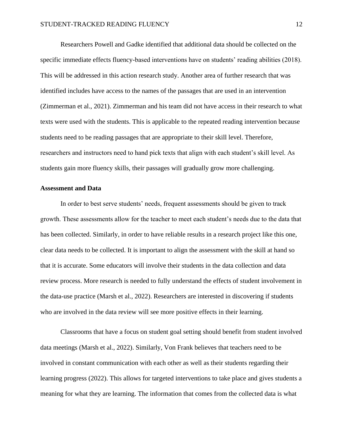Researchers Powell and Gadke identified that additional data should be collected on the specific immediate effects fluency-based interventions have on students' reading abilities (2018). This will be addressed in this action research study. Another area of further research that was identified includes have access to the names of the passages that are used in an intervention (Zimmerman et al., 2021). Zimmerman and his team did not have access in their research to what texts were used with the students. This is applicable to the repeated reading intervention because students need to be reading passages that are appropriate to their skill level. Therefore, researchers and instructors need to hand pick texts that align with each student's skill level. As students gain more fluency skills, their passages will gradually grow more challenging.

#### <span id="page-12-0"></span>**Assessment and Data**

In order to best serve students' needs, frequent assessments should be given to track growth. These assessments allow for the teacher to meet each student's needs due to the data that has been collected. Similarly, in order to have reliable results in a research project like this one, clear data needs to be collected. It is important to align the assessment with the skill at hand so that it is accurate. Some educators will involve their students in the data collection and data review process. More research is needed to fully understand the effects of student involvement in the data-use practice (Marsh et al., 2022). Researchers are interested in discovering if students who are involved in the data review will see more positive effects in their learning.

Classrooms that have a focus on student goal setting should benefit from student involved data meetings (Marsh et al., 2022). Similarly, Von Frank believes that teachers need to be involved in constant communication with each other as well as their students regarding their learning progress (2022). This allows for targeted interventions to take place and gives students a meaning for what they are learning. The information that comes from the collected data is what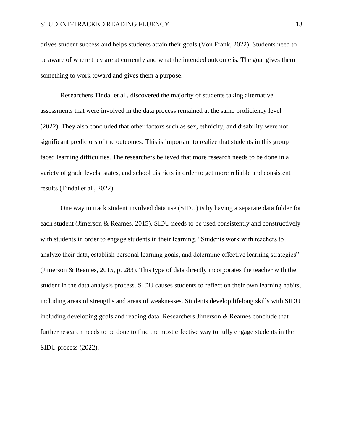drives student success and helps students attain their goals (Von Frank, 2022). Students need to be aware of where they are at currently and what the intended outcome is. The goal gives them something to work toward and gives them a purpose.

Researchers Tindal et al., discovered the majority of students taking alternative assessments that were involved in the data process remained at the same proficiency level (2022). They also concluded that other factors such as sex, ethnicity, and disability were not significant predictors of the outcomes. This is important to realize that students in this group faced learning difficulties. The researchers believed that more research needs to be done in a variety of grade levels, states, and school districts in order to get more reliable and consistent results (Tindal et al., 2022).

One way to track student involved data use (SIDU) is by having a separate data folder for each student (Jimerson & Reames, 2015). SIDU needs to be used consistently and constructively with students in order to engage students in their learning. "Students work with teachers to analyze their data, establish personal learning goals, and determine effective learning strategies" (Jimerson & Reames, 2015, p. 283). This type of data directly incorporates the teacher with the student in the data analysis process. SIDU causes students to reflect on their own learning habits, including areas of strengths and areas of weaknesses. Students develop lifelong skills with SIDU including developing goals and reading data. Researchers Jimerson & Reames conclude that further research needs to be done to find the most effective way to fully engage students in the SIDU process (2022).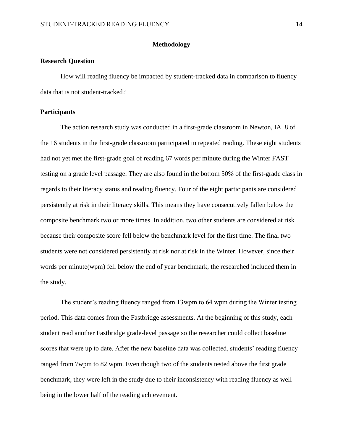#### **Methodology**

#### <span id="page-14-1"></span><span id="page-14-0"></span>**Research Question**

How will reading fluency be impacted by student-tracked data in comparison to fluency data that is not student-tracked?

#### <span id="page-14-2"></span>**Participants**

The action research study was conducted in a first-grade classroom in Newton, IA. 8 of the 16 students in the first-grade classroom participated in repeated reading. These eight students had not yet met the first-grade goal of reading 67 words per minute during the Winter FAST testing on a grade level passage. They are also found in the bottom 50% of the first-grade class in regards to their literacy status and reading fluency. Four of the eight participants are considered persistently at risk in their literacy skills. This means they have consecutively fallen below the composite benchmark two or more times. In addition, two other students are considered at risk because their composite score fell below the benchmark level for the first time. The final two students were not considered persistently at risk nor at risk in the Winter. However, since their words per minute(wpm) fell below the end of year benchmark, the researched included them in the study.

The student's reading fluency ranged from 13wpm to 64 wpm during the Winter testing period. This data comes from the Fastbridge assessments. At the beginning of this study, each student read another Fastbridge grade-level passage so the researcher could collect baseline scores that were up to date. After the new baseline data was collected, students' reading fluency ranged from 7wpm to 82 wpm. Even though two of the students tested above the first grade benchmark, they were left in the study due to their inconsistency with reading fluency as well being in the lower half of the reading achievement.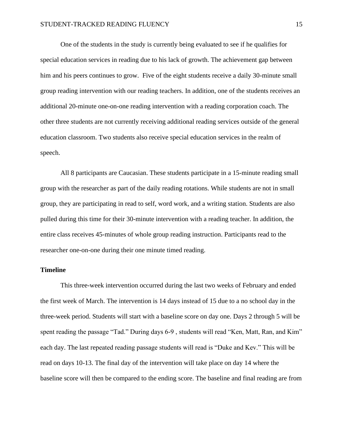One of the students in the study is currently being evaluated to see if he qualifies for special education services in reading due to his lack of growth. The achievement gap between him and his peers continues to grow. Five of the eight students receive a daily 30-minute small group reading intervention with our reading teachers. In addition, one of the students receives an additional 20-minute one-on-one reading intervention with a reading corporation coach. The other three students are not currently receiving additional reading services outside of the general education classroom. Two students also receive special education services in the realm of speech.

All 8 participants are Caucasian. These students participate in a 15-minute reading small group with the researcher as part of the daily reading rotations. While students are not in small group, they are participating in read to self, word work, and a writing station. Students are also pulled during this time for their 30-minute intervention with a reading teacher. In addition, the entire class receives 45-minutes of whole group reading instruction. Participants read to the researcher one-on-one during their one minute timed reading.

#### <span id="page-15-0"></span>**Timeline**

This three-week intervention occurred during the last two weeks of February and ended the first week of March. The intervention is 14 days instead of 15 due to a no school day in the three-week period. Students will start with a baseline score on day one. Days 2 through 5 will be spent reading the passage "Tad." During days 6-9, students will read "Ken, Matt, Ran, and Kim" each day. The last repeated reading passage students will read is "Duke and Kev." This will be read on days 10-13. The final day of the intervention will take place on day 14 where the baseline score will then be compared to the ending score. The baseline and final reading are from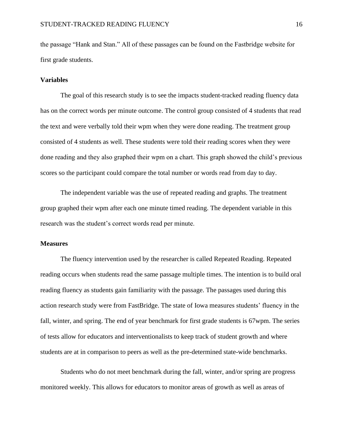the passage "Hank and Stan." All of these passages can be found on the Fastbridge website for first grade students.

#### <span id="page-16-0"></span>**Variables**

The goal of this research study is to see the impacts student-tracked reading fluency data has on the correct words per minute outcome. The control group consisted of 4 students that read the text and were verbally told their wpm when they were done reading. The treatment group consisted of 4 students as well. These students were told their reading scores when they were done reading and they also graphed their wpm on a chart. This graph showed the child's previous scores so the participant could compare the total number or words read from day to day.

The independent variable was the use of repeated reading and graphs. The treatment group graphed their wpm after each one minute timed reading. The dependent variable in this research was the student's correct words read per minute.

# <span id="page-16-1"></span>**Measures**

The fluency intervention used by the researcher is called Repeated Reading. Repeated reading occurs when students read the same passage multiple times. The intention is to build oral reading fluency as students gain familiarity with the passage. The passages used during this action research study were from FastBridge. The state of Iowa measures students' fluency in the fall, winter, and spring. The end of year benchmark for first grade students is 67wpm. The series of tests allow for educators and interventionalists to keep track of student growth and where students are at in comparison to peers as well as the pre-determined state-wide benchmarks.

Students who do not meet benchmark during the fall, winter, and/or spring are progress monitored weekly. This allows for educators to monitor areas of growth as well as areas of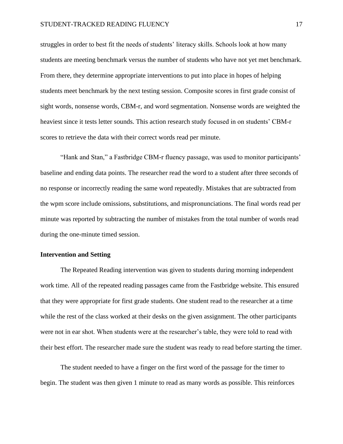struggles in order to best fit the needs of students' literacy skills. Schools look at how many students are meeting benchmark versus the number of students who have not yet met benchmark. From there, they determine appropriate interventions to put into place in hopes of helping students meet benchmark by the next testing session. Composite scores in first grade consist of sight words, nonsense words, CBM-r, and word segmentation. Nonsense words are weighted the heaviest since it tests letter sounds. This action research study focused in on students' CBM-r scores to retrieve the data with their correct words read per minute.

"Hank and Stan," a Fastbridge CBM-r fluency passage, was used to monitor participants' baseline and ending data points. The researcher read the word to a student after three seconds of no response or incorrectly reading the same word repeatedly. Mistakes that are subtracted from the wpm score include omissions, substitutions, and mispronunciations. The final words read per minute was reported by subtracting the number of mistakes from the total number of words read during the one-minute timed session.

#### <span id="page-17-0"></span>**Intervention and Setting**

The Repeated Reading intervention was given to students during morning independent work time. All of the repeated reading passages came from the Fastbridge website. This ensured that they were appropriate for first grade students. One student read to the researcher at a time while the rest of the class worked at their desks on the given assignment. The other participants were not in ear shot. When students were at the researcher's table, they were told to read with their best effort. The researcher made sure the student was ready to read before starting the timer.

The student needed to have a finger on the first word of the passage for the timer to begin. The student was then given 1 minute to read as many words as possible. This reinforces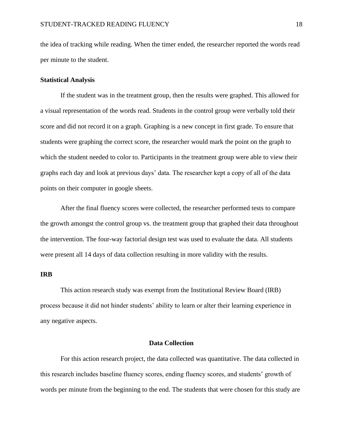the idea of tracking while reading. When the timer ended, the researcher reported the words read per minute to the student.

#### <span id="page-18-0"></span>**Statistical Analysis**

If the student was in the treatment group, then the results were graphed. This allowed for a visual representation of the words read. Students in the control group were verbally told their score and did not record it on a graph. Graphing is a new concept in first grade. To ensure that students were graphing the correct score, the researcher would mark the point on the graph to which the student needed to color to. Participants in the treatment group were able to view their graphs each day and look at previous days' data. The researcher kept a copy of all of the data points on their computer in google sheets.

After the final fluency scores were collected, the researcher performed tests to compare the growth amongst the control group vs. the treatment group that graphed their data throughout the intervention. The four-way factorial design test was used to evaluate the data. All students were present all 14 days of data collection resulting in more validity with the results.

#### <span id="page-18-1"></span>**IRB**

This action research study was exempt from the Institutional Review Board (IRB) process because it did not hinder students' ability to learn or alter their learning experience in any negative aspects.

## **Data Collection**

<span id="page-18-2"></span>For this action research project, the data collected was quantitative. The data collected in this research includes baseline fluency scores, ending fluency scores, and students' growth of words per minute from the beginning to the end. The students that were chosen for this study are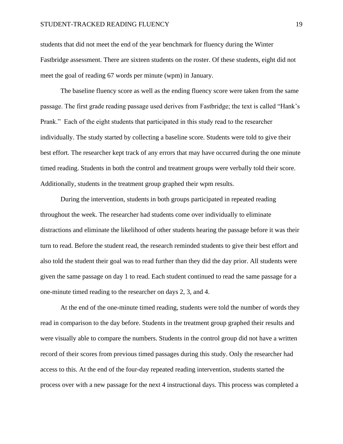students that did not meet the end of the year benchmark for fluency during the Winter Fastbridge assessment. There are sixteen students on the roster. Of these students, eight did not meet the goal of reading 67 words per minute (wpm) in January.

The baseline fluency score as well as the ending fluency score were taken from the same passage. The first grade reading passage used derives from Fastbridge; the text is called "Hank's Prank." Each of the eight students that participated in this study read to the researcher individually. The study started by collecting a baseline score. Students were told to give their best effort. The researcher kept track of any errors that may have occurred during the one minute timed reading. Students in both the control and treatment groups were verbally told their score. Additionally, students in the treatment group graphed their wpm results.

During the intervention, students in both groups participated in repeated reading throughout the week. The researcher had students come over individually to eliminate distractions and eliminate the likelihood of other students hearing the passage before it was their turn to read. Before the student read, the research reminded students to give their best effort and also told the student their goal was to read further than they did the day prior. All students were given the same passage on day 1 to read. Each student continued to read the same passage for a one-minute timed reading to the researcher on days 2, 3, and 4.

At the end of the one-minute timed reading, students were told the number of words they read in comparison to the day before. Students in the treatment group graphed their results and were visually able to compare the numbers. Students in the control group did not have a written record of their scores from previous timed passages during this study. Only the researcher had access to this. At the end of the four-day repeated reading intervention, students started the process over with a new passage for the next 4 instructional days. This process was completed a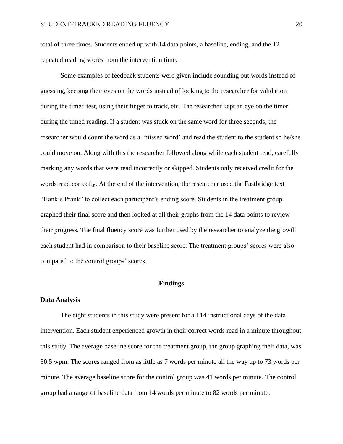total of three times. Students ended up with 14 data points, a baseline, ending, and the 12 repeated reading scores from the intervention time.

Some examples of feedback students were given include sounding out words instead of guessing, keeping their eyes on the words instead of looking to the researcher for validation during the timed test, using their finger to track, etc. The researcher kept an eye on the timer during the timed reading. If a student was stuck on the same word for three seconds, the researcher would count the word as a 'missed word' and read the student to the student so he/she could move on. Along with this the researcher followed along while each student read, carefully marking any words that were read incorrectly or skipped. Students only received credit for the words read correctly. At the end of the intervention, the researcher used the Fastbridge text "Hank's Prank" to collect each participant's ending score. Students in the treatment group graphed their final score and then looked at all their graphs from the 14 data points to review their progress. The final fluency score was further used by the researcher to analyze the growth each student had in comparison to their baseline score. The treatment groups' scores were also compared to the control groups' scores.

#### **Findings**

#### <span id="page-20-1"></span><span id="page-20-0"></span>**Data Analysis**

The eight students in this study were present for all 14 instructional days of the data intervention. Each student experienced growth in their correct words read in a minute throughout this study. The average baseline score for the treatment group, the group graphing their data, was 30.5 wpm. The scores ranged from as little as 7 words per minute all the way up to 73 words per minute. The average baseline score for the control group was 41 words per minute. The control group had a range of baseline data from 14 words per minute to 82 words per minute.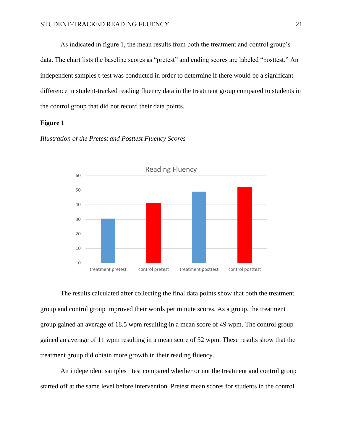As indicated in figure 1, the mean results from both the treatment and control group's data. The chart lists the baseline scores as "pretest" and ending scores are labeled "posttest." An independent samples t-test was conducted in order to determine if there would be a significant difference in student-tracked reading fluency data in the treatment group compared to students in the control group that did not record their data points.

## <span id="page-21-0"></span>**Figure 1**



*Illustration of the Pretest and Posttest Fluency Scores*

The results calculated after collecting the final data points show that both the treatment group and control group improved their words per minute scores. As a group, the treatment group gained an average of 18.5 wpm resulting in a mean score of 49 wpm. The control group gained an average of 11 wpm resulting in a mean score of 52 wpm. These results show that the treatment group did obtain more growth in their reading fluency.

An independent samples t test compared whether or not the treatment and control group started off at the same level before intervention. Pretest mean scores for students in the control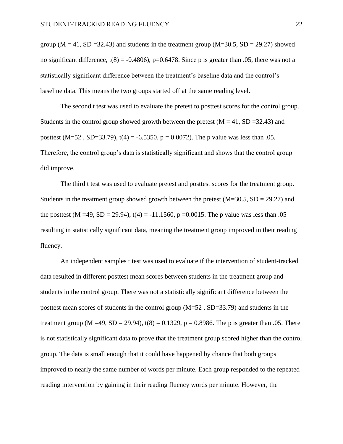group ( $M = 41$ ,  $SD = 32.43$ ) and students in the treatment group ( $M = 30.5$ ,  $SD = 29.27$ ) showed no significant difference,  $t(8) = -0.4806$ , p=0.6478. Since p is greater than 0.05, there was not a statistically significant difference between the treatment's baseline data and the control's baseline data. This means the two groups started off at the same reading level.

The second t test was used to evaluate the pretest to posttest scores for the control group. Students in the control group showed growth between the pretest  $(M = 41, SD = 32.43)$  and posttest  $(M=52, SD=33.79)$ ,  $t(4) = -6.5350$ ,  $p = 0.0072$ ). The p value was less than .05. Therefore, the control group's data is statistically significant and shows that the control group did improve.

The third t test was used to evaluate pretest and posttest scores for the treatment group. Students in the treatment group showed growth between the pretest  $(M=30.5, SD = 29.27)$  and the posttest (M =49, SD = 29.94), t(4) = -11.1560, p = 0.0015. The p value was less than .05 resulting in statistically significant data, meaning the treatment group improved in their reading fluency.

An independent samples t test was used to evaluate if the intervention of student-tracked data resulted in different posttest mean scores between students in the treatment group and students in the control group. There was not a statistically significant difference between the posttest mean scores of students in the control group (M=52 , SD=33.79) and students in the treatment group (M =49, SD = 29.94),  $t(8) = 0.1329$ ,  $p = 0.8986$ . The p is greater than .05. There is not statistically significant data to prove that the treatment group scored higher than the control group. The data is small enough that it could have happened by chance that both groups improved to nearly the same number of words per minute. Each group responded to the repeated reading intervention by gaining in their reading fluency words per minute. However, the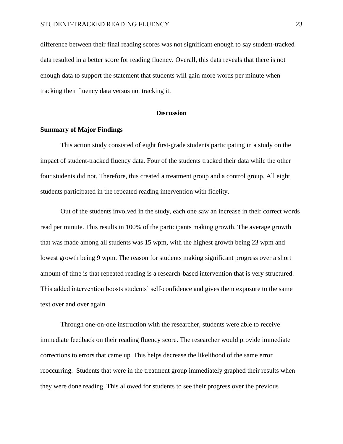difference between their final reading scores was not significant enough to say student-tracked data resulted in a better score for reading fluency. Overall, this data reveals that there is not enough data to support the statement that students will gain more words per minute when tracking their fluency data versus not tracking it.

#### **Discussion**

## <span id="page-23-1"></span><span id="page-23-0"></span>**Summary of Major Findings**

This action study consisted of eight first-grade students participating in a study on the impact of student-tracked fluency data. Four of the students tracked their data while the other four students did not. Therefore, this created a treatment group and a control group. All eight students participated in the repeated reading intervention with fidelity.

Out of the students involved in the study, each one saw an increase in their correct words read per minute. This results in 100% of the participants making growth. The average growth that was made among all students was 15 wpm, with the highest growth being 23 wpm and lowest growth being 9 wpm. The reason for students making significant progress over a short amount of time is that repeated reading is a research-based intervention that is very structured. This added intervention boosts students' self-confidence and gives them exposure to the same text over and over again.

Through one-on-one instruction with the researcher, students were able to receive immediate feedback on their reading fluency score. The researcher would provide immediate corrections to errors that came up. This helps decrease the likelihood of the same error reoccurring. Students that were in the treatment group immediately graphed their results when they were done reading. This allowed for students to see their progress over the previous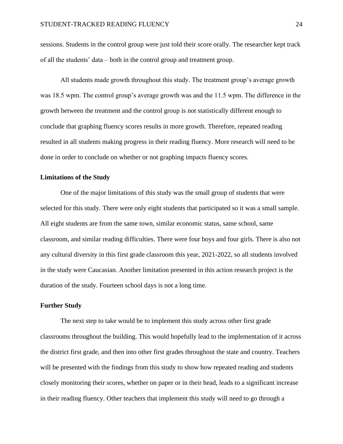sessions. Students in the control group were just told their score orally. The researcher kept track of all the students' data – both in the control group and treatment group.

All students made growth throughout this study. The treatment group's average growth was 18.5 wpm. The control group's average growth was and the 11.5 wpm. The difference in the growth between the treatment and the control group is not statistically different enough to conclude that graphing fluency scores results in more growth. Therefore, repeated reading resulted in all students making progress in their reading fluency. More research will need to be done in order to conclude on whether or not graphing impacts fluency scores.

#### <span id="page-24-0"></span>**Limitations of the Study**

One of the major limitations of this study was the small group of students that were selected for this study. There were only eight students that participated so it was a small sample. All eight students are from the same town, similar economic status, same school, same classroom, and similar reading difficulties. There were four boys and four girls. There is also not any cultural diversity in this first grade classroom this year, 2021-2022, so all students involved in the study were Caucasian. Another limitation presented in this action research project is the duration of the study. Fourteen school days is not a long time.

## <span id="page-24-1"></span>**Further Study**

The next step to take would be to implement this study across other first grade classrooms throughout the building. This would hopefully lead to the implementation of it across the district first grade, and then into other first grades throughout the state and country. Teachers will be presented with the findings from this study to show how repeated reading and students closely monitoring their scores, whether on paper or in their head, leads to a significant increase in their reading fluency. Other teachers that implement this study will need to go through a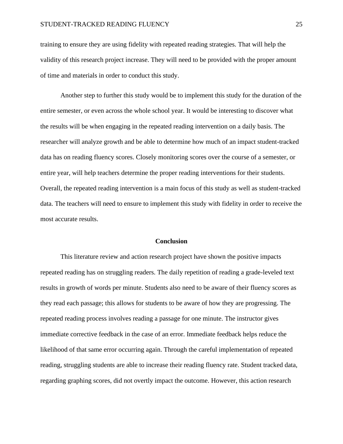training to ensure they are using fidelity with repeated reading strategies. That will help the validity of this research project increase. They will need to be provided with the proper amount of time and materials in order to conduct this study.

Another step to further this study would be to implement this study for the duration of the entire semester, or even across the whole school year. It would be interesting to discover what the results will be when engaging in the repeated reading intervention on a daily basis. The researcher will analyze growth and be able to determine how much of an impact student-tracked data has on reading fluency scores. Closely monitoring scores over the course of a semester, or entire year, will help teachers determine the proper reading interventions for their students. Overall, the repeated reading intervention is a main focus of this study as well as student-tracked data. The teachers will need to ensure to implement this study with fidelity in order to receive the most accurate results.

#### **Conclusion**

<span id="page-25-0"></span>This literature review and action research project have shown the positive impacts repeated reading has on struggling readers. The daily repetition of reading a grade-leveled text results in growth of words per minute. Students also need to be aware of their fluency scores as they read each passage; this allows for students to be aware of how they are progressing. The repeated reading process involves reading a passage for one minute. The instructor gives immediate corrective feedback in the case of an error. Immediate feedback helps reduce the likelihood of that same error occurring again. Through the careful implementation of repeated reading, struggling students are able to increase their reading fluency rate. Student tracked data, regarding graphing scores, did not overtly impact the outcome. However, this action research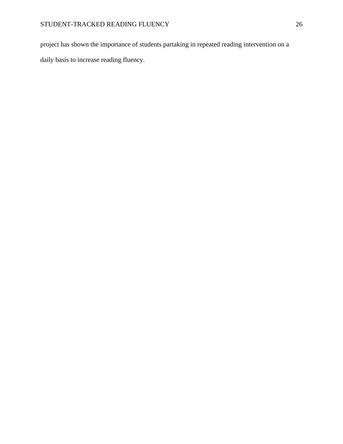project has shown the importance of students partaking in repeated reading intervention on a daily basis to increase reading fluency.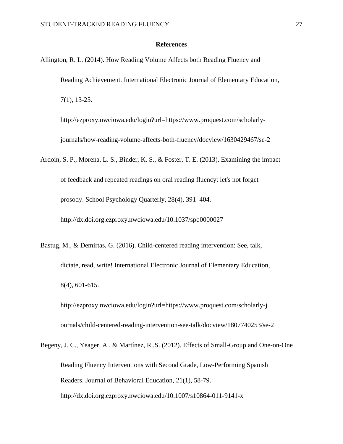#### **References**

<span id="page-27-0"></span>Allington, R. L. (2014). How Reading Volume Affects both Reading Fluency and Reading Achievement. International Electronic Journal of Elementary Education, 7(1), 13-25.

<http://ezproxy.nwciowa.edu/login?url=https://www.proquest.com/scholarly->

journals/how-reading-volume-affects-both-fluency/docview/1630429467/se-2

- Ardoin, S. P., Morena, L. S., Binder, K. S., & Foster, T. E. (2013). Examining the impact of feedback and repeated readings on oral reading fluency: let's not forget prosody. School Psychology Quarterly, 28(4), 391–404. http://dx.doi.org.ezproxy.nwciowa.edu/10.1037/spq0000027
- Bastug, M., & Demirtas, G. (2016). Child-centered reading intervention: See, talk, dictate, read, write! International Electronic Journal of Elementary Education, 8(4), 601-615.

<http://ezproxy.nwciowa.edu/login?url=https://www.proquest.com/scholarly-j> ournals/child-centered-reading-intervention-see-talk/docview/1807740253/se-2

Begeny, J. C., Yeager, A., & Martínez, R.,S. (2012). Effects of Small-Group and One-on-One Reading Fluency Interventions with Second Grade, Low-Performing Spanish Readers. Journal of Behavioral Education, 21(1), 58-79. http://dx.doi.org.ezproxy.nwciowa.edu/10.1007/s10864-011-9141-x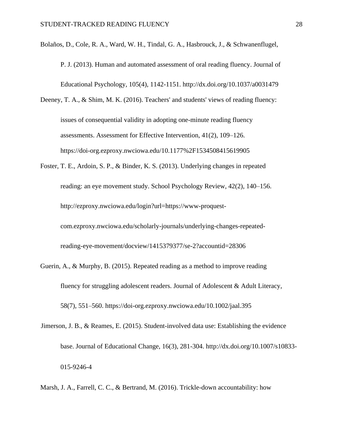Bolaños, D., Cole, R. A., Ward, W. H., Tindal, G. A., Hasbrouck, J., & Schwanenflugel,

- P. J. (2013). Human and automated assessment of oral reading fluency. Journal of Educational Psychology, 105(4), 1142-1151. http://dx.doi.org/10.1037/a0031479
- Deeney, T. A., & Shim, M. K. (2016). Teachers' and students' views of reading fluency: issues of consequential validity in adopting one-minute reading fluency assessments. Assessment for Effective Intervention, 41(2), 109–126. https://doi-org.ezproxy.nwciowa.edu/10.1177%2F1534508415619905
- Foster, T. E., Ardoin, S. P., & Binder, K. S. (2013). Underlying changes in repeated reading: an eye movement study. School Psychology Review, 42(2), 140–156. [http://ezproxy.nwciowa.edu/login?url=https://www-proquest](http://ezproxy.nwciowa.edu/login?url=https://www-proquest-)com.ezproxy.nwciowa.edu/scholarly-journals/underlying-changes-repeatedreading-eye-movement/docview/1415379377/se-2?accountid=28306
- Guerin, A., & Murphy, B. (2015). Repeated reading as a method to improve reading fluency for struggling adolescent readers. Journal of Adolescent & Adult Literacy, 58(7), 551–560.<https://doi-org.ezproxy.nwciowa.edu/10.1002/jaal.395>
- Jimerson, J. B., & Reames, E. (2015). Student-involved data use: Establishing the evidence base. Journal of Educational Change, 16(3), 281-304. http://dx.doi.org/10.1007/s10833- 015-9246-4
- Marsh, J. A., Farrell, C. C., & Bertrand, M. (2016). Trickle-down accountability: how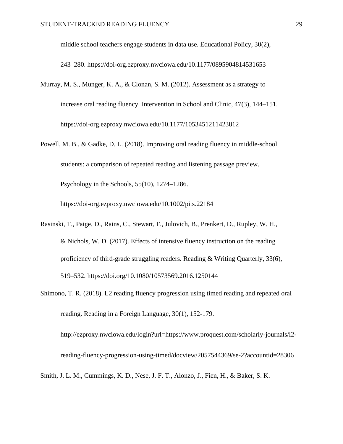middle school teachers engage students in data use. Educational Policy, 30(2),

243–280. https://doi-org.ezproxy.nwciowa.edu/10.1177/0895904814531653

- Murray, M. S., Munger, K. A., & Clonan, S. M. (2012). Assessment as a strategy to increase oral reading fluency. Intervention in School and Clinic, 47(3), 144–151. https://doi-org.ezproxy.nwciowa.edu/10.1177/1053451211423812
- Powell, M. B., & Gadke, D. L. (2018). Improving oral reading fluency in middle-school students: a comparison of repeated reading and listening passage preview. Psychology in the Schools, 55(10), 1274–1286.

https://doi-org.ezproxy.nwciowa.edu/10.1002/pits.22184

- Rasinski, T., Paige, D., Rains, C., Stewart, F., Julovich, B., Prenkert, D., Rupley, W. H., & Nichols, W. D. (2017). Effects of intensive fluency instruction on the reading proficiency of third-grade struggling readers. Reading & Writing Quarterly, 33(6), 519–532. https://doi.org/10.1080/10573569.2016.1250144
- Shimono, T. R. (2018). L2 reading fluency progression using timed reading and repeated oral reading. Reading in a Foreign Language, 30(1), 152-179. http://ezproxy.nwciowa.edu/login?url=https://www.proquest.com/scholarly-journals/l2-

reading-fluency-progression-using-timed/docview/2057544369/se-2?accountid=28306

Smith, J. L. M., Cummings, K. D., Nese, J. F. T., Alonzo, J., Fien, H., & Baker, S. K.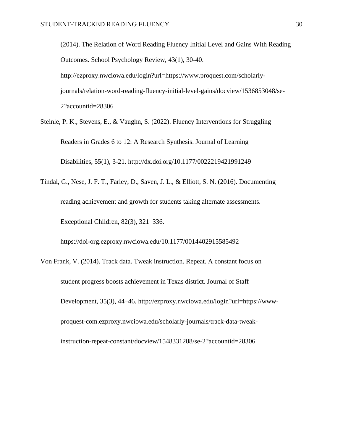(2014). The Relation of Word Reading Fluency Initial Level and Gains With Reading Outcomes. School Psychology Review, 43(1), 30-40. http://ezproxy.nwciowa.edu/login?url=https://www.proquest.com/scholarlyjournals/relation-word-reading-fluency-initial-level-gains/docview/1536853048/se-2?accountid=28306

Steinle, P. K., Stevens, E., & Vaughn, S. (2022). Fluency Interventions for Struggling Readers in Grades 6 to 12: A Research Synthesis. Journal of Learning Disabilities, 55(1), 3-21. http://dx.doi.org/10.1177/0022219421991249

Tindal, G., Nese, J. F. T., Farley, D., Saven, J. L., & Elliott, S. N. (2016). Documenting reading achievement and growth for students taking alternate assessments. Exceptional Children, 82(3), 321–336.

https://doi-org.ezproxy.nwciowa.edu/10.1177/0014402915585492

Von Frank, V. (2014). Track data. Tweak instruction. Repeat. A constant focus on student progress boosts achievement in Texas district. Journal of Staff Development, 35(3), 44–46. http://ezproxy.nwciowa.edu/login?url=https://wwwproquest-com.ezproxy.nwciowa.edu/scholarly-journals/track-data-tweakinstruction-repeat-constant/docview/1548331288/se-2?accountid=28306